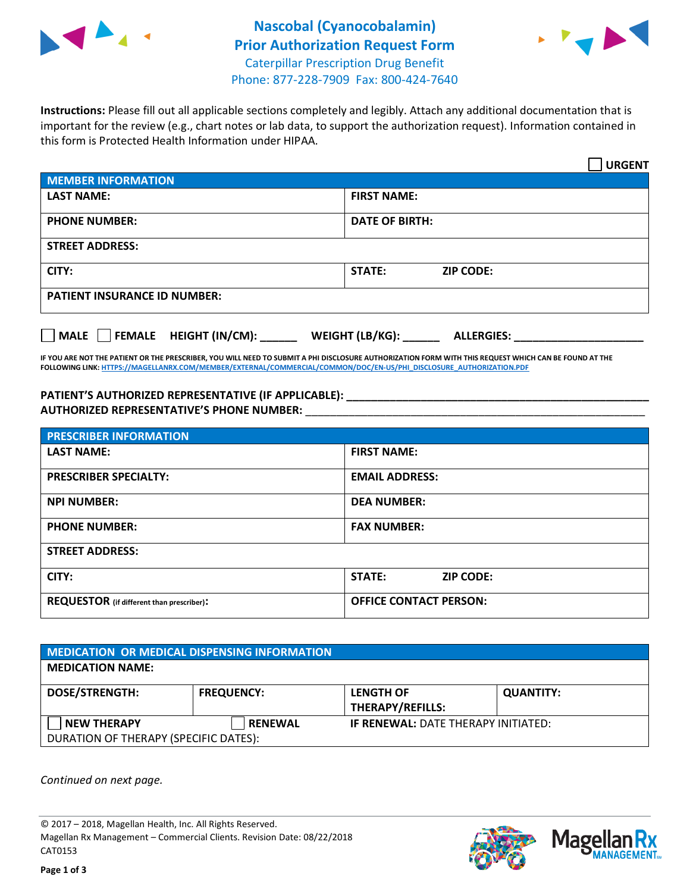



**Instructions:** Please fill out all applicable sections completely and legibly. Attach any additional documentation that is important for the review (e.g., chart notes or lab data, to support the authorization request). Information contained in this form is Protected Health Information under HIPAA.

|                                     |                                      | <b>URGENT</b> |
|-------------------------------------|--------------------------------------|---------------|
| <b>MEMBER INFORMATION</b>           |                                      |               |
| <b>LAST NAME:</b>                   | <b>FIRST NAME:</b>                   |               |
| <b>PHONE NUMBER:</b>                | <b>DATE OF BIRTH:</b>                |               |
| <b>STREET ADDRESS:</b>              |                                      |               |
| CITY:                               | <b>STATE:</b><br><b>ZIP CODE:</b>    |               |
| <b>PATIENT INSURANCE ID NUMBER:</b> |                                      |               |
| MALE FEMALE HEIGHT (IN/CM):         | WEIGHT (LB/KG):<br><b>ALLERGIES:</b> |               |

**IF YOU ARE NOT THE PATIENT OR THE PRESCRIBER, YOU WILL NEED TO SUBMIT A PHI DISCLOSURE AUTHORIZATION FORM WITH THIS REQUEST WHICH CAN BE FOUND AT THE FOLLOWING LINK[: HTTPS://MAGELLANRX.COM/MEMBER/EXTERNAL/COMMERCIAL/COMMON/DOC/EN-US/PHI\\_DISCLOSURE\\_AUTHORIZATION.PDF](https://magellanrx.com/member/external/commercial/common/doc/en-us/PHI_Disclosure_Authorization.pdf)**

**PATIENT'S AUTHORIZED REPRESENTATIVE (IF APPLICABLE): \_\_\_\_\_\_\_\_\_\_\_\_\_\_\_\_\_\_\_\_\_\_\_\_\_\_\_\_\_\_\_\_\_\_\_\_\_\_\_\_\_\_\_\_\_\_\_\_\_ AUTHORIZED REPRESENTATIVE'S PHONE NUMBER:** \_\_\_\_\_\_\_\_\_\_\_\_\_\_\_\_\_\_\_\_\_\_\_\_\_\_\_\_\_\_\_\_\_\_\_\_\_\_\_\_\_\_\_\_\_\_\_\_\_\_\_\_\_\_\_

| <b>PRESCRIBER INFORMATION</b>             |                               |  |  |  |
|-------------------------------------------|-------------------------------|--|--|--|
| <b>LAST NAME:</b>                         | <b>FIRST NAME:</b>            |  |  |  |
| <b>PRESCRIBER SPECIALTY:</b>              | <b>EMAIL ADDRESS:</b>         |  |  |  |
| <b>NPI NUMBER:</b>                        | <b>DEA NUMBER:</b>            |  |  |  |
| <b>PHONE NUMBER:</b>                      | <b>FAX NUMBER:</b>            |  |  |  |
| <b>STREET ADDRESS:</b>                    |                               |  |  |  |
| CITY:                                     | STATE:<br><b>ZIP CODE:</b>    |  |  |  |
| REQUESTOR (if different than prescriber): | <b>OFFICE CONTACT PERSON:</b> |  |  |  |

| <b>MEDICATION OR MEDICAL DISPENSING INFORMATION</b> |                   |                                            |                  |  |  |
|-----------------------------------------------------|-------------------|--------------------------------------------|------------------|--|--|
| <b>MEDICATION NAME:</b>                             |                   |                                            |                  |  |  |
| <b>DOSE/STRENGTH:</b>                               | <b>FREQUENCY:</b> | <b>LENGTH OF</b>                           | <b>QUANTITY:</b> |  |  |
|                                                     |                   | <b>THERAPY/REFILLS:</b>                    |                  |  |  |
| <b>NEW THERAPY</b>                                  | <b>RENEWAL</b>    | <b>IF RENEWAL: DATE THERAPY INITIATED:</b> |                  |  |  |
| DURATION OF THERAPY (SPECIFIC DATES):               |                   |                                            |                  |  |  |

*Continued on next page.*

© 2017 – 2018, Magellan Health, Inc. All Rights Reserved. Magellan Rx Management – Commercial Clients. Revision Date: 08/22/2018 CAT0153



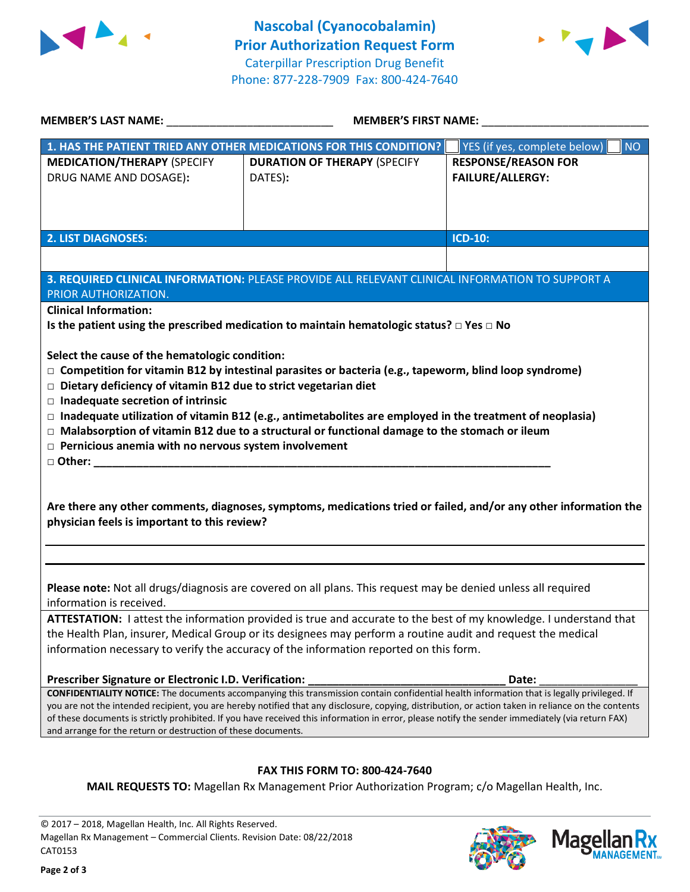



| MEMBER'S LAST NAME: NAME:                                                                                                                                                                                                                                                                               | <b>MEMBER'S FIRST NAME:</b>                                                                                      |                                           |  |  |
|---------------------------------------------------------------------------------------------------------------------------------------------------------------------------------------------------------------------------------------------------------------------------------------------------------|------------------------------------------------------------------------------------------------------------------|-------------------------------------------|--|--|
|                                                                                                                                                                                                                                                                                                         | 1. HAS THE PATIENT TRIED ANY OTHER MEDICATIONS FOR THIS CONDITION?                                               | YES (if yes, complete below)<br><b>NO</b> |  |  |
| <b>MEDICATION/THERAPY (SPECIFY</b>                                                                                                                                                                                                                                                                      | <b>DURATION OF THERAPY (SPECIFY</b>                                                                              | <b>RESPONSE/REASON FOR</b>                |  |  |
| DRUG NAME AND DOSAGE):                                                                                                                                                                                                                                                                                  | DATES):                                                                                                          | <b>FAILURE/ALLERGY:</b>                   |  |  |
|                                                                                                                                                                                                                                                                                                         |                                                                                                                  |                                           |  |  |
|                                                                                                                                                                                                                                                                                                         |                                                                                                                  |                                           |  |  |
|                                                                                                                                                                                                                                                                                                         |                                                                                                                  |                                           |  |  |
| <b>2. LIST DIAGNOSES:</b>                                                                                                                                                                                                                                                                               |                                                                                                                  | ICD-10:                                   |  |  |
|                                                                                                                                                                                                                                                                                                         |                                                                                                                  |                                           |  |  |
|                                                                                                                                                                                                                                                                                                         | 3. REQUIRED CLINICAL INFORMATION: PLEASE PROVIDE ALL RELEVANT CLINICAL INFORMATION TO SUPPORT A                  |                                           |  |  |
| PRIOR AUTHORIZATION.                                                                                                                                                                                                                                                                                    |                                                                                                                  |                                           |  |  |
| <b>Clinical Information:</b>                                                                                                                                                                                                                                                                            |                                                                                                                  |                                           |  |  |
|                                                                                                                                                                                                                                                                                                         | Is the patient using the prescribed medication to maintain hematologic status? $\square$ Yes $\square$ No        |                                           |  |  |
|                                                                                                                                                                                                                                                                                                         |                                                                                                                  |                                           |  |  |
| Select the cause of the hematologic condition:                                                                                                                                                                                                                                                          |                                                                                                                  |                                           |  |  |
|                                                                                                                                                                                                                                                                                                         | $\Box$ Competition for vitamin B12 by intestinal parasites or bacteria (e.g., tapeworm, blind loop syndrome)     |                                           |  |  |
| $\Box$ Dietary deficiency of vitamin B12 due to strict vegetarian diet                                                                                                                                                                                                                                  |                                                                                                                  |                                           |  |  |
| $\Box$ Inadequate secretion of intrinsic                                                                                                                                                                                                                                                                |                                                                                                                  |                                           |  |  |
|                                                                                                                                                                                                                                                                                                         | $\Box$ Inadequate utilization of vitamin B12 (e.g., antimetabolites are employed in the treatment of neoplasia)  |                                           |  |  |
|                                                                                                                                                                                                                                                                                                         | $\Box$ Malabsorption of vitamin B12 due to a structural or functional damage to the stomach or ileum             |                                           |  |  |
| $\Box$ Pernicious anemia with no nervous system involvement                                                                                                                                                                                                                                             |                                                                                                                  |                                           |  |  |
|                                                                                                                                                                                                                                                                                                         |                                                                                                                  |                                           |  |  |
|                                                                                                                                                                                                                                                                                                         |                                                                                                                  |                                           |  |  |
|                                                                                                                                                                                                                                                                                                         |                                                                                                                  |                                           |  |  |
|                                                                                                                                                                                                                                                                                                         | Are there any other comments, diagnoses, symptoms, medications tried or failed, and/or any other information the |                                           |  |  |
| physician feels is important to this review?                                                                                                                                                                                                                                                            |                                                                                                                  |                                           |  |  |
|                                                                                                                                                                                                                                                                                                         |                                                                                                                  |                                           |  |  |
|                                                                                                                                                                                                                                                                                                         |                                                                                                                  |                                           |  |  |
|                                                                                                                                                                                                                                                                                                         |                                                                                                                  |                                           |  |  |
| Please note: Not all drugs/diagnosis are covered on all plans. This request may be denied unless all required                                                                                                                                                                                           |                                                                                                                  |                                           |  |  |
| information is received.                                                                                                                                                                                                                                                                                |                                                                                                                  |                                           |  |  |
| ATTESTATION: I attest the information provided is true and accurate to the best of my knowledge. I understand that                                                                                                                                                                                      |                                                                                                                  |                                           |  |  |
| the Health Plan, insurer, Medical Group or its designees may perform a routine audit and request the medical                                                                                                                                                                                            |                                                                                                                  |                                           |  |  |
| information necessary to verify the accuracy of the information reported on this form.                                                                                                                                                                                                                  |                                                                                                                  |                                           |  |  |
| Prescriber Signature or Electronic I.D. Verification:                                                                                                                                                                                                                                                   |                                                                                                                  | Date:                                     |  |  |
| CONFIDENTIALITY NOTICE: The documents accompanying this transmission contain confidential health information that is legally privileged. If                                                                                                                                                             |                                                                                                                  |                                           |  |  |
| you are not the intended recipient, you are hereby notified that any disclosure, copying, distribution, or action taken in reliance on the contents<br>of these documents is strictly prohibited. If you have received this information in error, please notify the sender immediately (via return FAX) |                                                                                                                  |                                           |  |  |
| and arrange for the return or destruction of these documents.                                                                                                                                                                                                                                           |                                                                                                                  |                                           |  |  |
|                                                                                                                                                                                                                                                                                                         |                                                                                                                  |                                           |  |  |
|                                                                                                                                                                                                                                                                                                         |                                                                                                                  |                                           |  |  |
| <b>FAX THIS FORM TO: 800-424-7640</b>                                                                                                                                                                                                                                                                   |                                                                                                                  |                                           |  |  |

**MAIL REQUESTS TO:** Magellan Rx Management Prior Authorization Program; c/o Magellan Health, Inc.

© 2017 – 2018, Magellan Health, Inc. All Rights Reserved. Magellan Rx Management – Commercial Clients. Revision Date: 08/22/2018 CAT0153